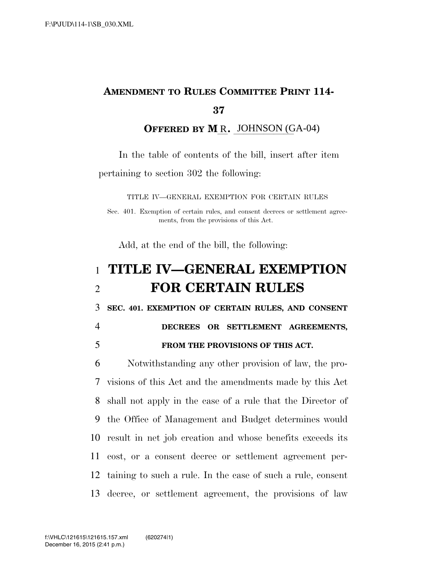## **AMENDMENT TO RULES COMMITTEE PRINT 114- 37**

**OFFERED BY M\_R.** JOHNSON (GA-04)

In the table of contents of the bill, insert after item pertaining to section 302 the following:

TITLE IV—GENERAL EXEMPTION FOR CERTAIN RULES

Sec. 401. Exemption of certain rules, and consent decrees or settlement agreements, from the provisions of this Act.

Add, at the end of the bill, the following:

## 1 **TITLE IV—GENERAL EXEMPTION**  2 **FOR CERTAIN RULES**

3 **SEC. 401. EXEMPTION OF CERTAIN RULES, AND CONSENT** 

4 **DECREES OR SETTLEMENT AGREEMENTS,**  5 **FROM THE PROVISIONS OF THIS ACT.** 

 Notwithstanding any other provision of law, the pro- visions of this Act and the amendments made by this Act shall not apply in the case of a rule that the Director of the Office of Management and Budget determines would result in net job creation and whose benefits exceeds its cost, or a consent decree or settlement agreement per- taining to such a rule. In the case of such a rule, consent decree, or settlement agreement, the provisions of law